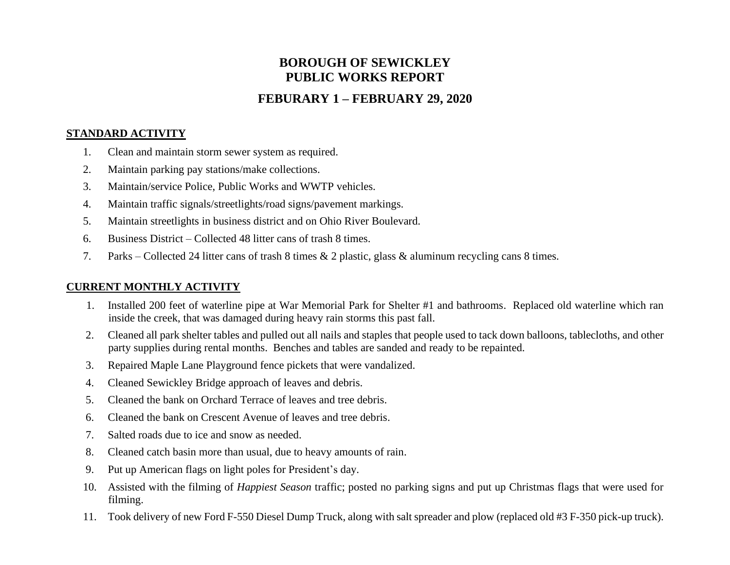# **BOROUGH OF SEWICKLEY PUBLIC WORKS REPORT**

# **FEBURARY 1 – FEBRUARY 29, 2020**

#### **STANDARD ACTIVITY**

- 1. Clean and maintain storm sewer system as required.
- 2. Maintain parking pay stations/make collections.
- 3. Maintain/service Police, Public Works and WWTP vehicles.
- 4. Maintain traffic signals/streetlights/road signs/pavement markings.
- 5. Maintain streetlights in business district and on Ohio River Boulevard.
- 6. Business District Collected 48 litter cans of trash 8 times.
- 7. Parks Collected 24 litter cans of trash 8 times & 2 plastic, glass & aluminum recycling cans 8 times.

## **CURRENT MONTHLY ACTIVITY**

- 1. Installed 200 feet of waterline pipe at War Memorial Park for Shelter #1 and bathrooms. Replaced old waterline which ran inside the creek, that was damaged during heavy rain storms this past fall.
- 2. Cleaned all park shelter tables and pulled out all nails and staples that people used to tack down balloons, tablecloths, and other party supplies during rental months. Benches and tables are sanded and ready to be repainted.
- 3. Repaired Maple Lane Playground fence pickets that were vandalized.
- 4. Cleaned Sewickley Bridge approach of leaves and debris.
- 5. Cleaned the bank on Orchard Terrace of leaves and tree debris.
- 6. Cleaned the bank on Crescent Avenue of leaves and tree debris.
- 7. Salted roads due to ice and snow as needed.
- 8. Cleaned catch basin more than usual, due to heavy amounts of rain.
- 9. Put up American flags on light poles for President's day.
- 10. Assisted with the filming of *Happiest Season* traffic; posted no parking signs and put up Christmas flags that were used for filming.
- 11. Took delivery of new Ford F-550 Diesel Dump Truck, along with salt spreader and plow (replaced old #3 F-350 pick-up truck).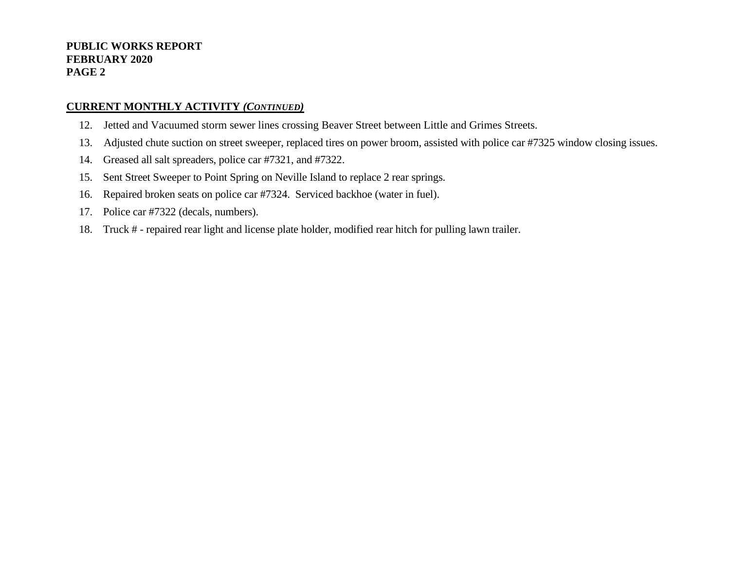#### **PUBLIC WORKS REPORT FEBRUARY 2020 PAGE 2**

#### **CURRENT MONTHLY ACTIVITY** *(CONTINUED)*

- 12. Jetted and Vacuumed storm sewer lines crossing Beaver Street between Little and Grimes Streets.
- 13. Adjusted chute suction on street sweeper, replaced tires on power broom, assisted with police car #7325 window closing issues.
- 14. Greased all salt spreaders, police car #7321, and #7322.
- 15. Sent Street Sweeper to Point Spring on Neville Island to replace 2 rear springs.
- 16. Repaired broken seats on police car #7324. Serviced backhoe (water in fuel).
- 17. Police car #7322 (decals, numbers).
- 18. Truck # repaired rear light and license plate holder, modified rear hitch for pulling lawn trailer.